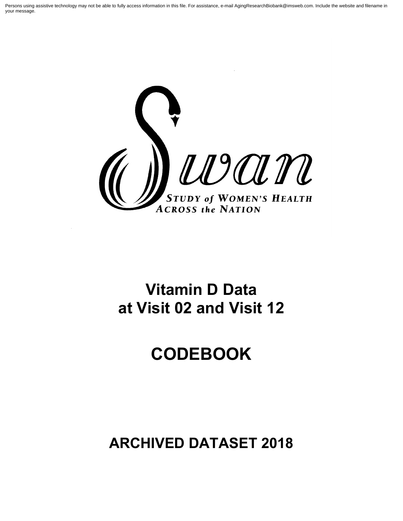Persons using assistive technology may not be able to fully access information in this file. For assistance, e-mail AgingResearchBiobank@imsweb.com. Include the website and filename in your message.



## **Vitamin D Data at Visit 02 and Visit 12**

# **CODEBOOK**

## **ARCHIVED DATASET 2018**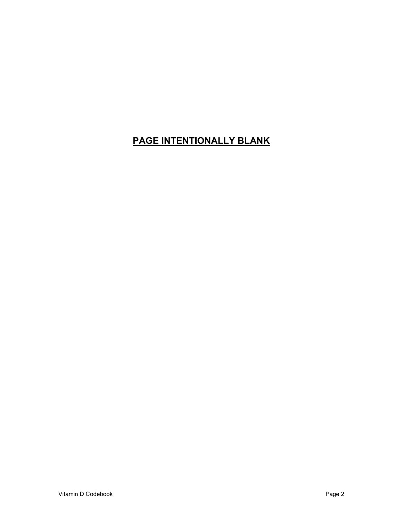### **PAGE INTENTIONALLY BLANK**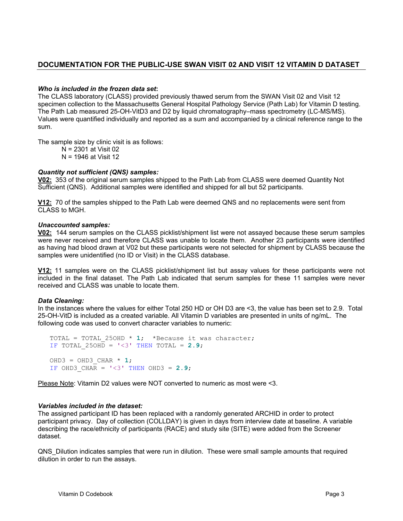#### **DOCUMENTATION FOR THE PUBLIC-USE SWAN VISIT 02 AND VISIT 12 VITAMIN D DATASET**

#### *Who is included in the frozen data set***:**

The CLASS laboratory (CLASS) provided previously thawed serum from the SWAN Visit 02 and Visit 12 specimen collection to the Massachusetts General Hospital Pathology Service (Path Lab) for Vitamin D testing. The Path Lab measured 25-OH-VitD3 and D2 by liquid chromatography–mass spectrometry (LC-MS/MS). Values were quantified individually and reported as a sum and accompanied by a clinical reference range to the sum.

The sample size by clinic visit is as follows:

N = 2301 at Visit 02

N = 1946 at Visit 12

#### *Quantity not sufficient (QNS) samples:*

**V02:** 353 of the original serum samples shipped to the Path Lab from CLASS were deemed Quantity Not Sufficient (QNS). Additional samples were identified and shipped for all but 52 participants.

**V12:** 70 of the samples shipped to the Path Lab were deemed QNS and no replacements were sent from CLASS to MGH.

#### *Unaccounted samples:*

**V02:** 144 serum samples on the CLASS picklist/shipment list were not assayed because these serum samples were never received and therefore CLASS was unable to locate them. Another 23 participants were identified as having had blood drawn at V02 but these participants were not selected for shipment by CLASS because the samples were unidentified (no ID or Visit) in the CLASS database.

**V12:** 11 samples were on the CLASS picklist/shipment list but assay values for these participants were not included in the final dataset. The Path Lab indicated that serum samples for these 11 samples were never received and CLASS was unable to locate them.

#### *Data Cleaning:*

In the instances where the values for either Total 250 HD or OH D3 are <3, the value has been set to 2.9. Total 25-OH-VitD is included as a created variable. All Vitamin D variables are presented in units of ng/mL. The following code was used to convert character variables to numeric:

```
TOTAL = TOTAL 25OHD * 1; *Because it was character;
IF TOTAL_25OHD = '<3' THEN TOTAL = 2.9; 
OHD3 = OHD3 CHAR * 1;
IF OHD3 CHAR = '<3' THEN OHD3 = 2.9;
```
Please Note: Vitamin D2 values were NOT converted to numeric as most were <3.

#### *Variables included in the dataset:*

The assigned participant ID has been replaced with a randomly generated ARCHID in order to protect participant privacy. Day of collection (COLLDAY) is given in days from interview date at baseline. A variable describing the race/ethnicity of participants (RACE) and study site (SITE) were added from the Screener dataset.

QNS\_Dilution indicates samples that were run in dilution. These were small sample amounts that required dilution in order to run the assays.